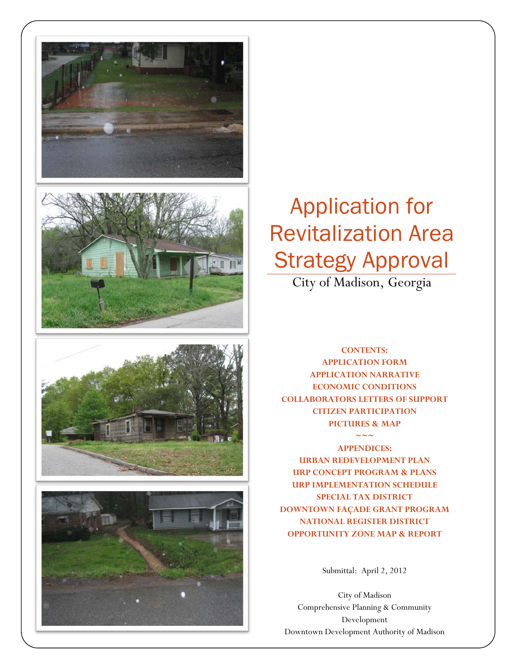







# Application for Revitalization Area Strategy Approval

City of Madison, Georgia

**CONTENTS: APPLICATION FORM APPLICATION NARRATIVE ECONOMIC CONDITIONS COLLABORATORS LETTERS OF SUPPORT CITIZEN PARTICIPATION PICTURES & MAP** 

 $\sim\sim\sim$ 

**APPENDICES: URBAN REDEVELOPMENT PLAN URP CONCEPT PROGRAM & PLANS URP IMPLEMENTATION SCHEDULE SPECIAL TAX DISTRICT DOWNTOWN FAÇADE GRANT PROGRAM NATIONAL REGISTER DISTRICT OPPORTUNITY ZONE MAP & REPORT** 

Submittal: April 2, 2012

City of Madison Comprehensive Planning & Community Development Downtown Development Authority of Madison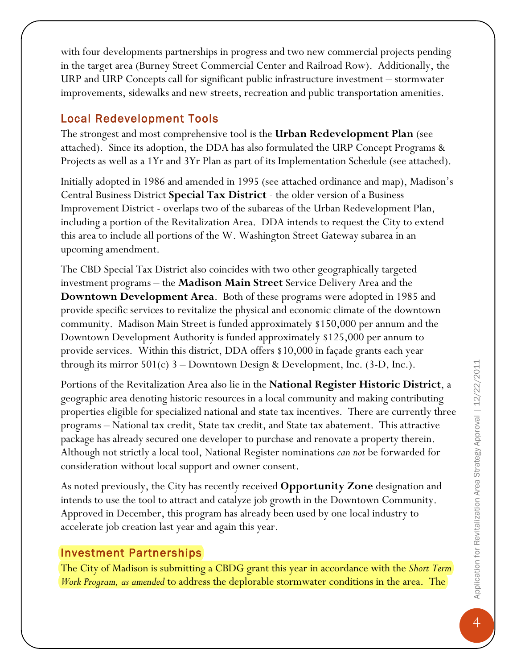with four developments partnerships in progress and two new commercial projects pending in the target area (Burney Street Commercial Center and Railroad Row). Additionally, the URP and URP Concepts call for significant public infrastructure investment – stormwater improvements, sidewalks and new streets, recreation and public transportation amenities.

#### Local Redevelopment Tools

The strongest and most comprehensive tool is the **Urban Redevelopment Plan** (see attached). Since its adoption, the DDA has also formulated the URP Concept Programs & Projects as well as a 1Yr and 3Yr Plan as part of its Implementation Schedule (see attached).

Initially adopted in 1986 and amended in 1995 (see attached ordinance and map), Madison's Central Business District **Special Tax District** - the older version of a Business Improvement District - overlaps two of the subareas of the Urban Redevelopment Plan, including a portion of the Revitalization Area. DDA intends to request the City to extend this area to include all portions of the W. Washington Street Gateway subarea in an upcoming amendment.

The CBD Special Tax District also coincides with two other geographically targeted investment programs – the **Madison Main Street** Service Delivery Area and the **Downtown Development Area**. Both of these programs were adopted in 1985 and provide specific services to revitalize the physical and economic climate of the downtown community. Madison Main Street is funded approximately \$150,000 per annum and the Downtown Development Authority is funded approximately \$125,000 per annum to provide services. Within this district, DDA offers \$10,000 in façade grants each year through its mirror  $501(c)$  3 – Downtown Design & Development, Inc. (3-D, Inc.).

Portions of the Revitalization Area also lie in the **National Register Historic District**, a geographic area denoting historic resources in a local community and making contributing properties eligible for specialized national and state tax incentives. There are currently three programs – National tax credit, State tax credit, and State tax abatement. This attractive package has already secured one developer to purchase and renovate a property therein. Although not strictly a local tool, National Register nominations *can not* be forwarded for consideration without local support and owner consent.

As noted previously, the City has recently received **Opportunity Zone** designation and intends to use the tool to attract and catalyze job growth in the Downtown Community. Approved in December, this program has already been used by one local industry to accelerate job creation last year and again this year.

#### Investment Partnerships

The City of Madison is submitting a CBDG grant this year in accordance with the *Short Term Work Program, as amended* to address the deplorable stormwater conditions in the area. The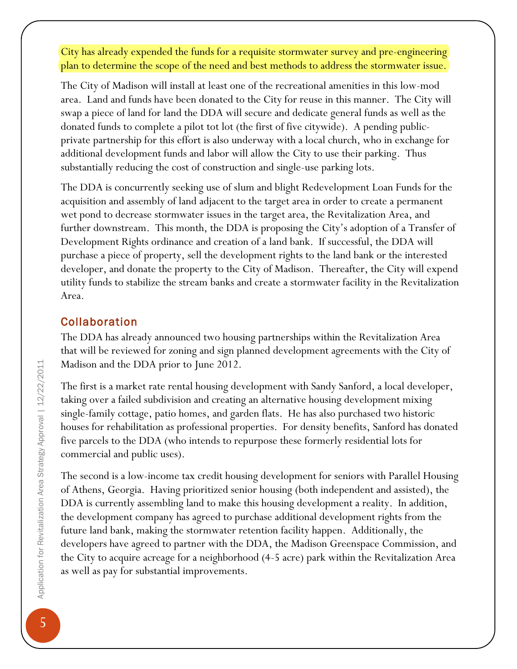City has already expended the funds for a requisite stormwater survey and pre-engineering plan to determine the scope of the need and best methods to address the stormwater issue.

The City of Madison will install at least one of the recreational amenities in this low-mod area. Land and funds have been donated to the City for reuse in this manner. The City will swap a piece of land for land the DDA will secure and dedicate general funds as well as the donated funds to complete a pilot tot lot (the first of five citywide). A pending publicprivate partnership for this effort is also underway with a local church, who in exchange for additional development funds and labor will allow the City to use their parking. Thus substantially reducing the cost of construction and single-use parking lots.

The DDA is concurrently seeking use of slum and blight Redevelopment Loan Funds for the acquisition and assembly of land adjacent to the target area in order to create a permanent wet pond to decrease stormwater issues in the target area, the Revitalization Area, and further downstream. This month, the DDA is proposing the City's adoption of a Transfer of Development Rights ordinance and creation of a land bank. If successful, the DDA will purchase a piece of property, sell the development rights to the land bank or the interested developer, and donate the property to the City of Madison. Thereafter, the City will expend utility funds to stabilize the stream banks and create a stormwater facility in the Revitalization Area.

### Collaboration

The DDA has already announced two housing partnerships within the Revitalization Area that will be reviewed for zoning and sign planned development agreements with the City of Madison and the DDA prior to June 2012.

The first is a market rate rental housing development with Sandy Sanford, a local developer, taking over a failed subdivision and creating an alternative housing development mixing single-family cottage, patio homes, and garden flats. He has also purchased two historic houses for rehabilitation as professional properties. For density benefits, Sanford has donated five parcels to the DDA (who intends to repurpose these formerly residential lots for commercial and public uses).

The second is a low-income tax credit housing development for seniors with Parallel Housing of Athens, Georgia. Having prioritized senior housing (both independent and assisted), the DDA is currently assembling land to make this housing development a reality. In addition, the development company has agreed to purchase additional development rights from the future land bank, making the stormwater retention facility happen. Additionally, the developers have agreed to partner with the DDA, the Madison Greenspace Commission, and the City to acquire acreage for a neighborhood (4-5 acre) park within the Revitalization Area as well as pay for substantial improvements.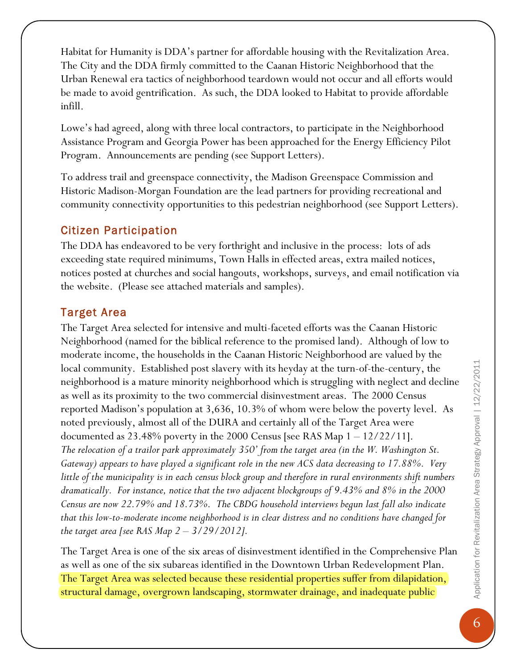Habitat for Humanity is DDA's partner for affordable housing with the Revitalization Area. The City and the DDA firmly committed to the Caanan Historic Neighborhood that the Urban Renewal era tactics of neighborhood teardown would not occur and all efforts would be made to avoid gentrification. As such, the DDA looked to Habitat to provide affordable infill.

Lowe's had agreed, along with three local contractors, to participate in the Neighborhood Assistance Program and Georgia Power has been approached for the Energy Efficiency Pilot Program. Announcements are pending (see Support Letters).

To address trail and greenspace connectivity, the Madison Greenspace Commission and Historic Madison-Morgan Foundation are the lead partners for providing recreational and community connectivity opportunities to this pedestrian neighborhood (see Support Letters).

## Citizen Participation

The DDA has endeavored to be very forthright and inclusive in the process: lots of ads exceeding state required minimums, Town Halls in effected areas, extra mailed notices, notices posted at churches and social hangouts, workshops, surveys, and email notification via the website. (Please see attached materials and samples).

## Target Area

The Target Area selected for intensive and multi-faceted efforts was the Caanan Historic Neighborhood (named for the biblical reference to the promised land). Although of low to moderate income, the households in the Caanan Historic Neighborhood are valued by the local community. Established post slavery with its heyday at the turn-of-the-century, the neighborhood is a mature minority neighborhood which is struggling with neglect and decline as well as its proximity to the two commercial disinvestment areas. The 2000 Census reported Madison's population at 3,636, 10.3% of whom were below the poverty level. As noted previously, almost all of the DURA and certainly all of the Target Area were documented as  $23.48\%$  poverty in the 2000 Census [see RAS Map  $1 - 12/22/11$ ]. *The relocation of a trailor park approximately 350' from the target area (in the W. Washington St. Gateway) appears to have played a significant role in the new ACS data decreasing to 17.88%. Very little of the municipality is in each census block group and therefore in rural environments shift numbers dramatically. For instance, notice that the two adjacent blockgroups of 9.43% and 8% in the 2000 Census are now 22.79% and 18.73%. The CBDG household interviews begun last fall also indicate that this low-to-moderate income neighborhood is in clear distress and no conditions have changed for the target area [see RAS Map 2 – 3/29/2012].*

The Target Area is one of the six areas of disinvestment identified in the Comprehensive Plan as well as one of the six subareas identified in the Downtown Urban Redevelopment Plan. The Target Area was selected because these residential properties suffer from dilapidation, structural damage, overgrown landscaping, stormwater drainage, and inadequate public